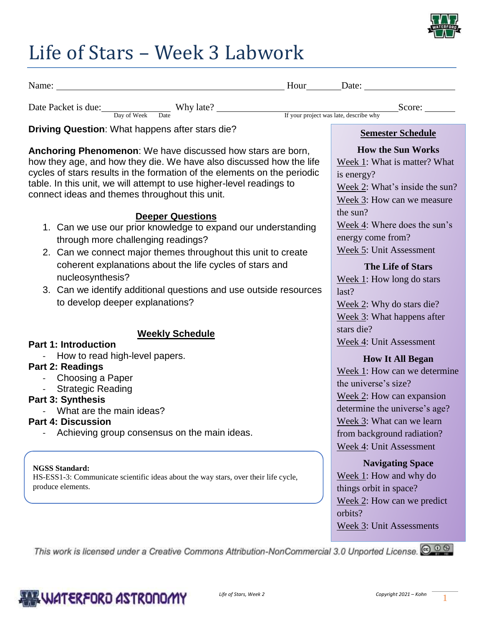

## Life of Stars – Week 3 Labwork

|  | ')u. | 9te |
|--|------|-----|
|  |      |     |

Date Packet is due: <u>Score:</u> Why late? <u>Nicolas Contains and Score:</u> Score: Score: Score: Score: Score: Score: Score: Score: Score: Score: Score: Score: Score: Score: Score: Score: Score: Score: Score: Score: Score: Score:

Day of Week Date If your project was late, describe why

**Driving Question**: What happens after stars die?

**Anchoring Phenomenon**: We have discussed how stars are born, how they age, and how they die. We have also discussed how the life cycles of stars results in the formation of the elements on the periodic table. In this unit, we will attempt to use higher-level readings to connect ideas and themes throughout this unit.

#### **Deeper Questions**

- 1. Can we use our prior knowledge to expand our understanding through more challenging readings?
- 2. Can we connect major themes throughout this unit to create coherent explanations about the life cycles of stars and nucleosynthesis?
- 3. Can we identify additional questions and use outside resources to develop deeper explanations?

#### **Weekly Schedule**

#### **Part 1: Introduction**

- How to read high-level papers.

#### **Part 2: Readings**

- Choosing a Paper<br>- Strategic Reading
- Strategic Reading

#### **Part 3: Synthesis**

- What are the main ideas?

#### **Part 4: Discussion**

Achieving group consensus on the main ideas.

#### **NGSS Standard:**

HS-ESS1-3: Communicate scientific ideas about the way stars, over their life cycle, produce elements.

**Semester Schedule**

### **How the Sun Works**

Week 1: What is matter? What is energy?

Week 2: What's inside the sun? Week 3: How can we measure

the sun?

Week 4: Where does the sun's energy come from? Week 5: Unit Assessment

**The Life of Stars**

Week 1: How long do stars last? Week 2: Why do stars die? Week 3: What happens after stars die? Week 4: Unit Assessment

### **How It All Began**

Week 1: How can we determine the universe's size? Week 2: How can expansion determine the universe's age? Week 3: What can we learn from background radiation? Week 4: Unit Assessment

#### **Navigating Space**

Week 1: How and why do things orbit in space? Week 2: How can we predict orbits? Week 3: Unit Assessments

This work is licensed under a Creative Commons Attribution-NonCommercial 3.0 Unported License. @ 0 6

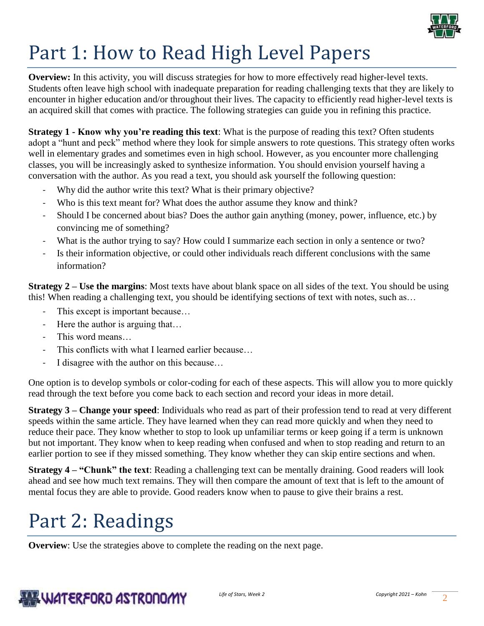

# Part 1: How to Read High Level Papers

**Overview:** In this activity, you will discuss strategies for how to more effectively read higher-level texts. Students often leave high school with inadequate preparation for reading challenging texts that they are likely to encounter in higher education and/or throughout their lives. The capacity to efficiently read higher-level texts is an acquired skill that comes with practice. The following strategies can guide you in refining this practice.

**Strategy 1 - Know why you're reading this text**: What is the purpose of reading this text? Often students adopt a "hunt and peck" method where they look for simple answers to rote questions. This strategy often works well in elementary grades and sometimes even in high school. However, as you encounter more challenging classes, you will be increasingly asked to synthesize information. You should envision yourself having a conversation with the author. As you read a text, you should ask yourself the following question:

- Why did the author write this text? What is their primary objective?
- Who is this text meant for? What does the author assume they know and think?
- Should I be concerned about bias? Does the author gain anything (money, power, influence, etc.) by convincing me of something?
- What is the author trying to say? How could I summarize each section in only a sentence or two?
- Is their information objective, or could other individuals reach different conclusions with the same information?

**Strategy 2 – Use the margins**: Most texts have about blank space on all sides of the text. You should be using this! When reading a challenging text, you should be identifying sections of text with notes, such as…

- This except is important because...
- Here the author is arguing that...
- This word means...
- This conflicts with what I learned earlier because...
- I disagree with the author on this because...

One option is to develop symbols or color-coding for each of these aspects. This will allow you to more quickly read through the text before you come back to each section and record your ideas in more detail.

**Strategy 3 – Change your speed**: Individuals who read as part of their profession tend to read at very different speeds within the same article. They have learned when they can read more quickly and when they need to reduce their pace. They know whether to stop to look up unfamiliar terms or keep going if a term is unknown but not important. They know when to keep reading when confused and when to stop reading and return to an earlier portion to see if they missed something. They know whether they can skip entire sections and when.

**Strategy 4 – "Chunk" the text**: Reading a challenging text can be mentally draining. Good readers will look ahead and see how much text remains. They will then compare the amount of text that is left to the amount of mental focus they are able to provide. Good readers know when to pause to give their brains a rest.

## Part 2: Readings

**Overview**: Use the strategies above to complete the reading on the next page.

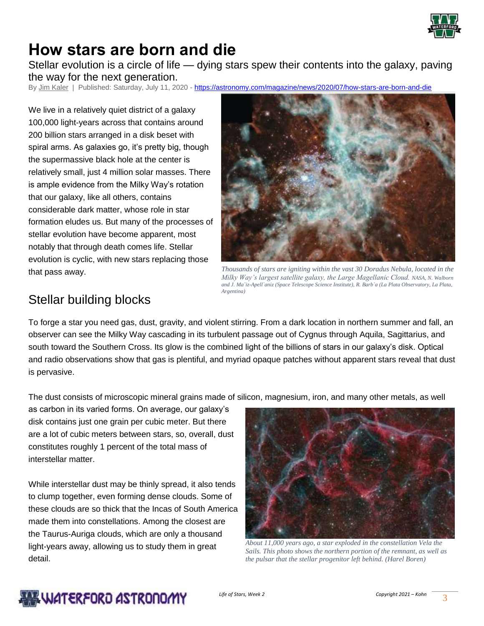

## **How stars are born and die**

Stellar evolution is a circle of life — dying stars spew their contents into the galaxy, paving the way for the next generation.

By [Jim Kaler](https://astronomy.com/authors/jim-kaler) | Published: Saturday, July 11, 2020 - <https://astronomy.com/magazine/news/2020/07/how-stars-are-born-and-die>

We live in a relatively quiet district of a galaxy 100,000 light-years across that contains around 200 billion stars arranged in a disk beset with spiral arms. As galaxies go, it's pretty big, though the supermassive black hole at the center is relatively small, just 4 million solar masses. There is ample evidence from the Milky Way's rotation that our galaxy, like all others, contains considerable dark matter, whose role in star formation eludes us. But many of the processes of stellar evolution have become apparent, most notably that through death comes life. Stellar evolution is cyclic, with new stars replacing those that pass away.



*Thousands of stars are igniting within the vast 30 Doradus Nebula, located in the Milky Way's largest satellite galaxy, the Large Magellanic Cloud. NASA, N. Walborn and J. Ma`iz-Apell`aniz (Space Telescope Science Institute), R. Barb`a (La Plata Observatory, La Plata, Argentina)*

## Stellar building blocks

To forge a star you need gas, dust, gravity, and violent stirring. From a dark location in northern summer and fall, an observer can see the Milky Way cascading in its turbulent passage out of Cygnus through Aquila, Sagittarius, and south toward the Southern Cross. Its glow is the combined light of the billions of stars in our galaxy's disk. Optical and radio observations show that gas is plentiful, and myriad opaque patches without apparent stars reveal that dust is pervasive.

The dust consists of microscopic mineral grains made of silicon, magnesium, iron, and many other metals, as well

as carbon in its varied forms. On average, our galaxy's disk contains just one grain per cubic meter. But there are a lot of cubic meters between stars, so, overall, dust constitutes roughly 1 percent of the total mass of interstellar matter.

While interstellar dust may be thinly spread, it also tends to clump together, even forming dense clouds. Some of these clouds are so thick that the Incas of South America made them into constellations. Among the closest are the Taurus-Auriga clouds, which are only a thousand light-years away, allowing us to study them in great detail.



*About 11,000 years ago, a star exploded in the constellation Vela the Sails. This photo shows the northern portion of the remnant, as well as the pulsar that the stellar progenitor left behind. (Harel Boren)*

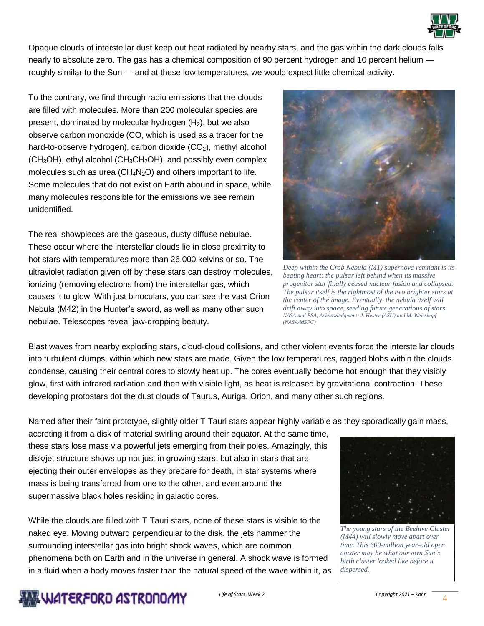

Opaque clouds of interstellar dust keep out heat radiated by nearby stars, and the gas within the dark clouds falls nearly to absolute zero. The gas has a chemical composition of 90 percent hydrogen and 10 percent helium roughly similar to the Sun — and at these low temperatures, we would expect little chemical activity.

To the contrary, we find through radio emissions that the clouds are filled with molecules. More than 200 molecular species are present, dominated by molecular hydrogen  $(H<sub>2</sub>)$ , but we also observe carbon monoxide (CO, which is used as a tracer for the hard-to-observe hydrogen), carbon dioxide (CO<sub>2</sub>), methyl alcohol  $(CH<sub>3</sub>OH)$ , ethyl alcohol  $(CH<sub>3</sub>CH<sub>2</sub>OH)$ , and possibly even complex molecules such as urea ( $CH_4N_2O$ ) and others important to life. Some molecules that do not exist on Earth abound in space, while many molecules responsible for the emissions we see remain unidentified.

The real showpieces are the gaseous, dusty diffuse nebulae. These occur where the interstellar clouds lie in close proximity to hot stars with temperatures more than 26,000 kelvins or so. The ultraviolet radiation given off by these stars can destroy molecules, ionizing (removing electrons from) the interstellar gas, which causes it to glow. With just binoculars, you can see the vast Orion Nebula (M42) in the Hunter's sword, as well as many other such nebulae. Telescopes reveal jaw-dropping beauty.



*Deep within the Crab Nebula (M1) supernova remnant is its beating heart: the pulsar left behind when its massive progenitor star finally ceased nuclear fusion and collapsed. The pulsar itself is the rightmost of the two brighter stars at the center of the image. Eventually, the nebula itself will drift away into space, seeding future generations of stars. NASA and ESA, Acknowledgment: J. Hester (ASU) and M. Weisskopf (NASA/MSFC)*

Blast waves from nearby exploding stars, cloud-cloud collisions, and other violent events force the interstellar clouds into turbulent clumps, within which new stars are made. Given the low temperatures, ragged blobs within the clouds condense, causing their central cores to slowly heat up. The cores eventually become hot enough that they visibly glow, first with infrared radiation and then with visible light, as heat is released by gravitational contraction. These developing protostars dot the dust clouds of Taurus, Auriga, Orion, and many other such regions.

Named after their faint prototype, slightly older T Tauri stars appear highly variable as they sporadically gain mass,

accreting it from a disk of material swirling around their equator. At the same time, these stars lose mass via powerful jets emerging from their poles. Amazingly, this disk/jet structure shows up not just in growing stars, but also in stars that are ejecting their outer envelopes as they prepare for death, in star systems where mass is being transferred from one to the other, and even around the supermassive black holes residing in galactic cores.

While the clouds are filled with T Tauri stars, none of these stars is visible to the naked eye. Moving outward perpendicular to the disk, the jets hammer the surrounding interstellar gas into bright shock waves, which are common phenomena both on Earth and in the universe in general. A shock wave is formed in a fluid when a body moves faster than the natural speed of the wave within it, as



*The young stars of the Beehive Cluster (M44) will slowly move apart over time. This 600-million year-old open cluster may be what our own Sun's birth cluster looked like before it dispersed.*

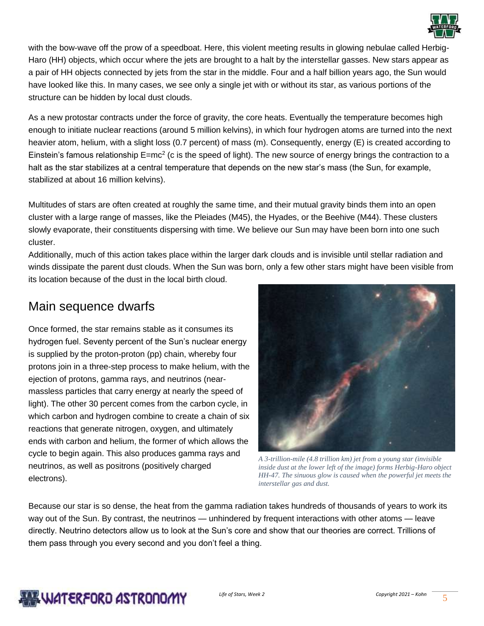

with the bow-wave off the prow of a speedboat. Here, this violent meeting results in glowing nebulae called Herbig-Haro (HH) objects, which occur where the jets are brought to a halt by the interstellar gasses. New stars appear as a pair of HH objects connected by jets from the star in the middle. Four and a half billion years ago, the Sun would have looked like this. In many cases, we see only a single jet with or without its star, as various portions of the structure can be hidden by local dust clouds.

As a new protostar contracts under the force of gravity, the core heats. Eventually the temperature becomes high enough to initiate nuclear reactions (around 5 million kelvins), in which four hydrogen atoms are turned into the next heavier atom, helium, with a slight loss (0.7 percent) of mass (m). Consequently, energy (E) is created according to Einstein's famous relationship E=mc<sup>2</sup> (c is the speed of light). The new source of energy brings the contraction to a halt as the star stabilizes at a central temperature that depends on the new star's mass (the Sun, for example, stabilized at about 16 million kelvins).

Multitudes of stars are often created at roughly the same time, and their mutual gravity binds them into an open cluster with a large range of masses, like the Pleiades (M45), the Hyades, or the Beehive (M44). These clusters slowly evaporate, their constituents dispersing with time. We believe our Sun may have been born into one such cluster.

Additionally, much of this action takes place within the larger dark clouds and is invisible until stellar radiation and winds dissipate the parent dust clouds. When the Sun was born, only a few other stars might have been visible from its location because of the dust in the local birth cloud.

### Main sequence dwarfs

Once formed, the star remains stable as it consumes its hydrogen fuel. Seventy percent of the Sun's nuclear energy is supplied by the proton-proton (pp) chain, whereby four protons join in a three-step process to make helium, with the ejection of protons, gamma rays, and neutrinos (nearmassless particles that carry energy at nearly the speed of light). The other 30 percent comes from the carbon cycle, in which carbon and hydrogen combine to create a chain of six reactions that generate nitrogen, oxygen, and ultimately ends with carbon and helium, the former of which allows the cycle to begin again. This also produces gamma rays and neutrinos, as well as positrons (positively charged electrons).



*A 3-trillion-mile (4.8 trillion km) jet from a young star (invisible inside dust at the lower left of the image) forms Herbig-Haro object HH-47. The sinuous glow is caused when the powerful jet meets the interstellar gas and dust.*

Because our star is so dense, the heat from the gamma radiation takes hundreds of thousands of years to work its way out of the Sun. By contrast, the neutrinos — unhindered by frequent interactions with other atoms — leave directly. Neutrino detectors allow us to look at the Sun's core and show that our theories are correct. Trillions of them pass through you every second and you don't feel a thing.

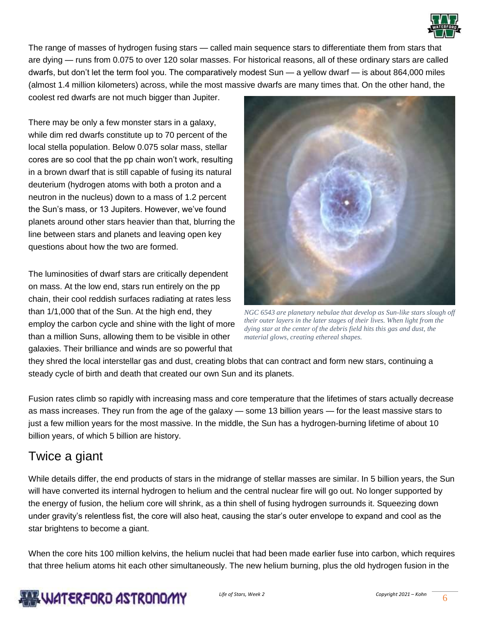

The range of masses of hydrogen fusing stars — called main sequence stars to differentiate them from stars that are dying — runs from 0.075 to over 120 solar masses. For historical reasons, all of these ordinary stars are called dwarfs, but don't let the term fool you. The comparatively modest Sun — a yellow dwarf — is about 864,000 miles (almost 1.4 million kilometers) across, while the most massive dwarfs are many times that. On the other hand, the

coolest red dwarfs are not much bigger than Jupiter.

There may be only a few monster stars in a galaxy, while dim red dwarfs constitute up to 70 percent of the local stella population. Below 0.075 solar mass, stellar cores are so cool that the pp chain won't work, resulting in a brown dwarf that is still capable of fusing its natural deuterium (hydrogen atoms with both a proton and a neutron in the nucleus) down to a mass of 1.2 percent the Sun's mass, or 13 Jupiters. However, we've found planets around other stars heavier than that, blurring the line between stars and planets and leaving open key questions about how the two are formed.

The luminosities of dwarf stars are critically dependent on mass. At the low end, stars run entirely on the pp chain, their cool reddish surfaces radiating at rates less than 1/1,000 that of the Sun. At the high end, they employ the carbon cycle and shine with the light of more than a million Suns, allowing them to be visible in other galaxies. Their brilliance and winds are so powerful that



*NGC 6543 are planetary nebulae that develop as Sun-like stars slough off their outer layers in the later stages of their lives. When light from the dying star at the center of the debris field hits this gas and dust, the material glows, creating ethereal shapes.*

they shred the local interstellar gas and dust, creating blobs that can contract and form new stars, continuing a steady cycle of birth and death that created our own Sun and its planets.

Fusion rates climb so rapidly with increasing mass and core temperature that the lifetimes of stars actually decrease as mass increases. They run from the age of the galaxy — some 13 billion years — for the least massive stars to just a few million years for the most massive. In the middle, the Sun has a hydrogen-burning lifetime of about 10 billion years, of which 5 billion are history.

### Twice a giant

While details differ, the end products of stars in the midrange of stellar masses are similar. In 5 billion years, the Sun will have converted its internal hydrogen to helium and the central nuclear fire will go out. No longer supported by the energy of fusion, the helium core will shrink, as a thin shell of fusing hydrogen surrounds it. Squeezing down under gravity's relentless fist, the core will also heat, causing the star's outer envelope to expand and cool as the star brightens to become a giant.

When the core hits 100 million kelvins, the helium nuclei that had been made earlier fuse into carbon, which requires that three helium atoms hit each other simultaneously. The new helium burning, plus the old hydrogen fusion in the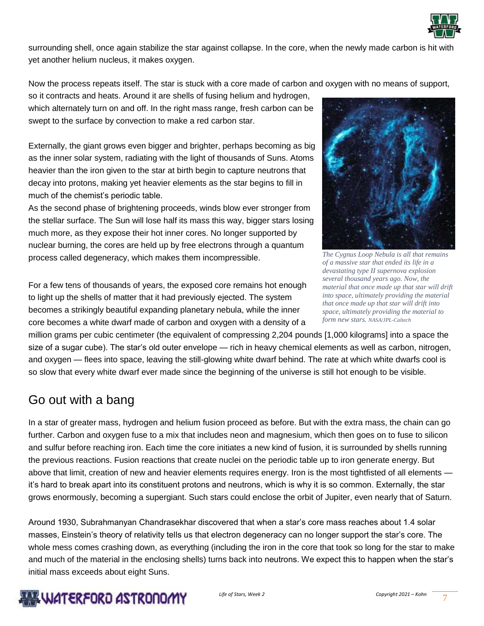

surrounding shell, once again stabilize the star against collapse. In the core, when the newly made carbon is hit with yet another helium nucleus, it makes oxygen.

Now the process repeats itself. The star is stuck with a core made of carbon and oxygen with no means of support,

so it contracts and heats. Around it are shells of fusing helium and hydrogen, which alternately turn on and off. In the right mass range, fresh carbon can be swept to the surface by convection to make a red carbon star.

Externally, the giant grows even bigger and brighter, perhaps becoming as big as the inner solar system, radiating with the light of thousands of Suns. Atoms heavier than the iron given to the star at birth begin to capture neutrons that decay into protons, making yet heavier elements as the star begins to fill in much of the chemist's periodic table.

As the second phase of brightening proceeds, winds blow ever stronger from the stellar surface. The Sun will lose half its mass this way, bigger stars losing much more, as they expose their hot inner cores. No longer supported by nuclear burning, the cores are held up by free electrons through a quantum process called degeneracy, which makes them incompressible.

For a few tens of thousands of years, the exposed core remains hot enough to light up the shells of matter that it had previously ejected. The system becomes a strikingly beautiful expanding planetary nebula, while the inner core becomes a white dwarf made of carbon and oxygen with a density of a

*The Cygnus Loop Nebula is all that remains of a massive star that ended its life in a devastating type II supernova explosion several thousand years ago. Now, the material that once made up that star will drift into space, ultimately providing the material that once made up that star will drift into space, ultimately providing the material to form new stars. NASA/JPL-Caltech*

million grams per cubic centimeter (the equivalent of compressing 2,204 pounds [1,000 kilograms] into a space the size of a sugar cube). The star's old outer envelope — rich in heavy chemical elements as well as carbon, nitrogen, and oxygen — flees into space, leaving the still-glowing white dwarf behind. The rate at which white dwarfs cool is so slow that every white dwarf ever made since the beginning of the universe is still hot enough to be visible.

## Go out with a bang

In a star of greater mass, hydrogen and helium fusion proceed as before. But with the extra mass, the chain can go further. Carbon and oxygen fuse to a mix that includes neon and magnesium, which then goes on to fuse to silicon and sulfur before reaching iron. Each time the core initiates a new kind of fusion, it is surrounded by shells running the previous reactions. Fusion reactions that create nuclei on the periodic table up to iron generate energy. But above that limit, creation of new and heavier elements requires energy. Iron is the most tightfisted of all elements it's hard to break apart into its constituent protons and neutrons, which is why it is so common. Externally, the star grows enormously, becoming a supergiant. Such stars could enclose the orbit of Jupiter, even nearly that of Saturn.

Around 1930, Subrahmanyan Chandrasekhar discovered that when a star's core mass reaches about 1.4 solar masses, Einstein's theory of relativity tells us that electron degeneracy can no longer support the star's core. The whole mess comes crashing down, as everything (including the iron in the core that took so long for the star to make and much of the material in the enclosing shells) turns back into neutrons. We expect this to happen when the star's initial mass exceeds about eight Suns.

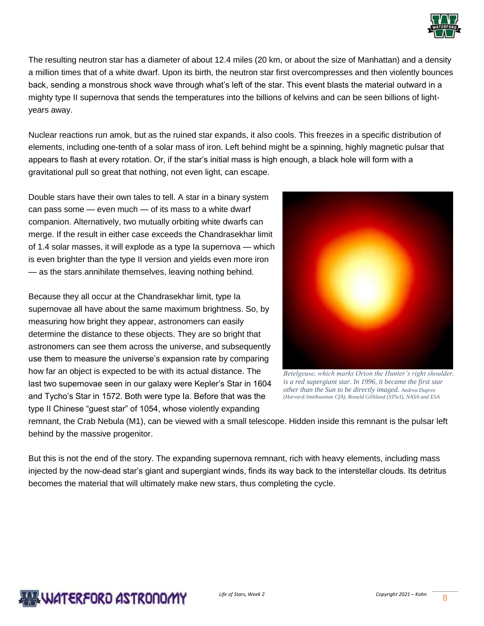

The resulting neutron star has a diameter of about 12.4 miles (20 km, or about the size of Manhattan) and a density a million times that of a white dwarf. Upon its birth, the neutron star first overcompresses and then violently bounces back, sending a monstrous shock wave through what's left of the star. This event blasts the material outward in a mighty type II supernova that sends the temperatures into the billions of kelvins and can be seen billions of lightyears away.

Nuclear reactions run amok, but as the ruined star expands, it also cools. This freezes in a specific distribution of elements, including one-tenth of a solar mass of iron. Left behind might be a spinning, highly magnetic pulsar that appears to flash at every rotation. Or, if the star's initial mass is high enough, a black hole will form with a gravitational pull so great that nothing, not even light, can escape.

Double stars have their own tales to tell. A star in a binary system can pass some — even much — of its mass to a white dwarf companion. Alternatively, two mutually orbiting white dwarfs can merge. If the result in either case exceeds the Chandrasekhar limit of 1.4 solar masses, it will explode as a type Ia supernova — which is even brighter than the type II version and yields even more iron — as the stars annihilate themselves, leaving nothing behind.

Because they all occur at the Chandrasekhar limit, type Ia supernovae all have about the same maximum brightness. So, by measuring how bright they appear, astronomers can easily determine the distance to these objects. They are so bright that astronomers can see them across the universe, and subsequently use them to measure the universe's expansion rate by comparing how far an object is expected to be with its actual distance. The last two supernovae seen in our galaxy were Kepler's Star in 1604 and Tycho's Star in 1572. Both were type Ia. Before that was the type II Chinese "guest star" of 1054, whose violently expanding



*Betelgeuse, which marks Orion the Hunter's right shoulder, is a red supergiant star. In 1996, it became the first star other than the Sun to be directly imaged. Andrea Dupree (Harvard-Smithsonian CfA), Ronald Gilliland (STScI), NASA and ESA*

remnant, the Crab Nebula (M1), can be viewed with a small telescope. Hidden inside this remnant is the pulsar left behind by the massive progenitor.

But this is not the end of the story. The expanding supernova remnant, rich with heavy elements, including mass injected by the now-dead star's giant and supergiant winds, finds its way back to the interstellar clouds. Its detritus becomes the material that will ultimately make new stars, thus completing the cycle.